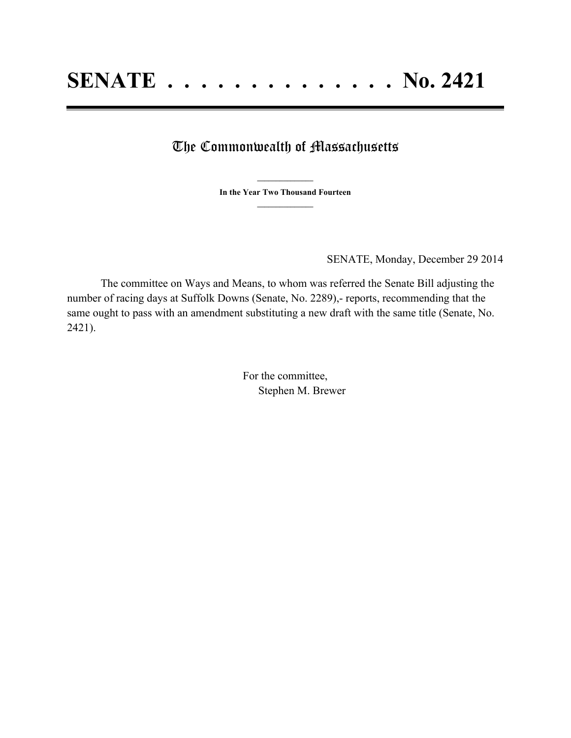## The Commonwealth of Massachusetts

**\_\_\_\_\_\_\_\_\_\_\_\_\_\_\_ In the Year Two Thousand Fourteen \_\_\_\_\_\_\_\_\_\_\_\_\_\_\_**

SENATE, Monday, December 29 2014

The committee on Ways and Means, to whom was referred the Senate Bill adjusting the number of racing days at Suffolk Downs (Senate, No. 2289),- reports, recommending that the same ought to pass with an amendment substituting a new draft with the same title (Senate, No. 2421).

> For the committee, Stephen M. Brewer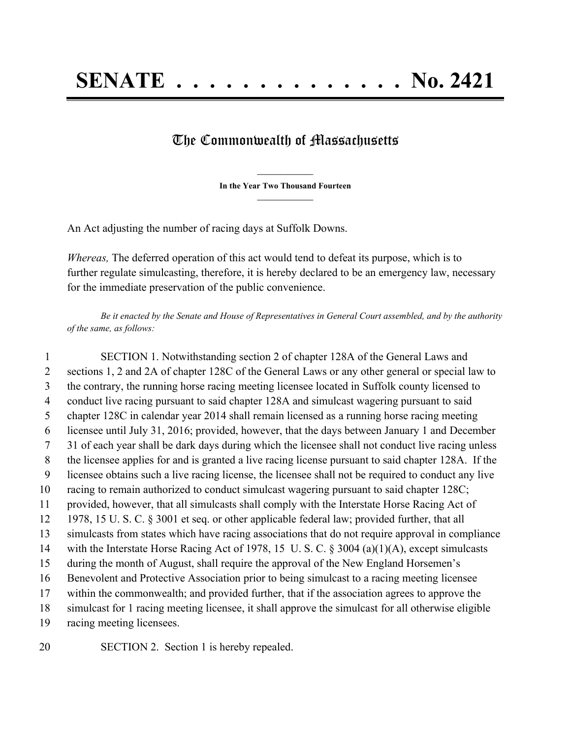## The Commonwealth of Massachusetts

**\_\_\_\_\_\_\_\_\_\_\_\_\_\_\_ In the Year Two Thousand Fourteen \_\_\_\_\_\_\_\_\_\_\_\_\_\_\_**

An Act adjusting the number of racing days at Suffolk Downs.

*Whereas,* The deferred operation of this act would tend to defeat its purpose, which is to further regulate simulcasting, therefore, it is hereby declared to be an emergency law, necessary for the immediate preservation of the public convenience.

Be it enacted by the Senate and House of Representatives in General Court assembled, and by the authority *of the same, as follows:*

 SECTION 1. Notwithstanding section 2 of chapter 128A of the General Laws and sections 1, 2 and 2A of chapter 128C of the General Laws or any other general or special law to the contrary, the running horse racing meeting licensee located in Suffolk county licensed to conduct live racing pursuant to said chapter 128A and simulcast wagering pursuant to said chapter 128C in calendar year 2014 shall remain licensed as a running horse racing meeting licensee until July 31, 2016; provided, however, that the days between January 1 and December 31 of each year shall be dark days during which the licensee shall not conduct live racing unless the licensee applies for and is granted a live racing license pursuant to said chapter 128A. If the licensee obtains such a live racing license, the licensee shall not be required to conduct any live racing to remain authorized to conduct simulcast wagering pursuant to said chapter 128C; provided, however, that all simulcasts shall comply with the Interstate Horse Racing Act of 1978, 15 U. S. C. § 3001 et seq. or other applicable federal law; provided further, that all simulcasts from states which have racing associations that do not require approval in compliance with the Interstate Horse Racing Act of 1978, 15 U. S. C. § 3004 (a)(1)(A), except simulcasts during the month of August, shall require the approval of the New England Horsemen's Benevolent and Protective Association prior to being simulcast to a racing meeting licensee within the commonwealth; and provided further, that if the association agrees to approve the simulcast for 1 racing meeting licensee, it shall approve the simulcast for all otherwise eligible racing meeting licensees.

SECTION 2. Section 1 is hereby repealed.